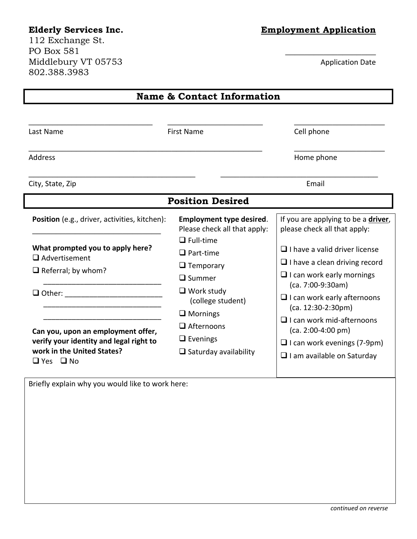112 Exchange St. PO Box 581 Middlebury VT 05753 Application Date 802.388.3983

### **Elderly Services Inc. Employment Application**

| <b>Name &amp; Contact Information</b>                                                                                                                   |                                                                                                                                                                                                                 |                                                                                                                                                                                                                                                                                                                        |  |  |  |  |
|---------------------------------------------------------------------------------------------------------------------------------------------------------|-----------------------------------------------------------------------------------------------------------------------------------------------------------------------------------------------------------------|------------------------------------------------------------------------------------------------------------------------------------------------------------------------------------------------------------------------------------------------------------------------------------------------------------------------|--|--|--|--|
| Last Name                                                                                                                                               | First Name                                                                                                                                                                                                      | Cell phone                                                                                                                                                                                                                                                                                                             |  |  |  |  |
| <b>Address</b>                                                                                                                                          |                                                                                                                                                                                                                 | Home phone                                                                                                                                                                                                                                                                                                             |  |  |  |  |
| City, State, Zip                                                                                                                                        |                                                                                                                                                                                                                 | Email                                                                                                                                                                                                                                                                                                                  |  |  |  |  |
| <b>Position Desired</b>                                                                                                                                 |                                                                                                                                                                                                                 |                                                                                                                                                                                                                                                                                                                        |  |  |  |  |
| Position (e.g., driver, activities, kitchen):<br>What prompted you to apply here?<br>$\Box$ Advertisement<br>$\Box$ Referral; by whom?<br>$\Box$ Other: | <b>Employment type desired.</b><br>Please check all that apply:<br>$\Box$ Full-time<br>$\square$ Part-time<br>$\Box$ Temporary<br>$\square$ Summer<br>$\Box$ Work study<br>(college student)<br>$\Box$ Mornings | If you are applying to be a <i>driver</i> ,<br>please check all that apply:<br>$\Box$ I have a valid driver license<br>$\Box$ I have a clean driving record<br>$\Box$ I can work early mornings<br>(ca. 7:00-9:30am)<br>$\Box$ I can work early afternoons<br>$(ca. 12:30-2:30pm)$<br>$\Box$ I can work mid-afternoons |  |  |  |  |
| Can you, upon an employment offer,<br>verify your identity and legal right to<br>work in the United States?<br>$\Box$ Yes $\Box$ No                     | $\Box$ Afternoons<br>$\Box$ Evenings<br>$\Box$ Saturday availability                                                                                                                                            | $(ca. 2:00-4:00 pm)$<br>$\Box$ I can work evenings (7-9pm)<br>$\Box$ I am available on Saturday                                                                                                                                                                                                                        |  |  |  |  |

Briefly explain why you would like to work here: